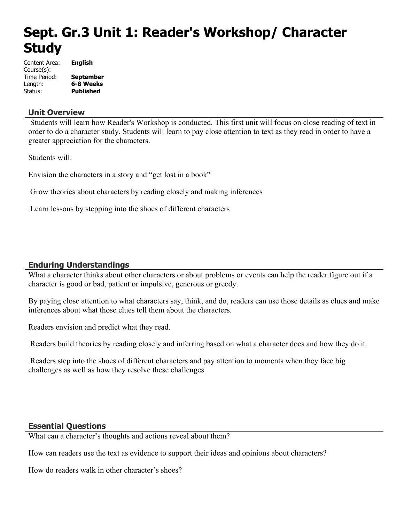# **Sept. Gr.3 Unit 1: Reader's Workshop/ Character Study**

| Content Area: | <b>English</b>   |
|---------------|------------------|
| Course(s):    |                  |
| Time Period:  | <b>September</b> |
| Length:       | 6-8 Weeks        |
| Status:       | <b>Published</b> |

### **Unit Overview**

 Students will learn how Reader's Workshop is conducted. This first unit will focus on close reading of text in order to do a character study. Students will learn to pay close attention to text as they read in order to have a greater appreciation for the characters.

Students will:

Envision the characters in a story and "get lost in a book"

Grow theories about characters by reading closely and making inferences

Learn lessons by stepping into the shoes of different characters

### **Enduring Understandings**

What a character thinks about other characters or about problems or events can help the reader figure out if a character is good or bad, patient or impulsive, generous or greedy.

By paying close attention to what characters say, think, and do, readers can use those details as clues and make inferences about what those clues tell them about the characters.

Readers envision and predict what they read.

Readers build theories by reading closely and inferring based on what a character does and how they do it.

 Readers step into the shoes of different characters and pay attention to moments when they face big challenges as well as how they resolve these challenges.

### **Essential Questions**

What can a character's thoughts and actions reveal about them?

How can readers use the text as evidence to support their ideas and opinions about characters?

How do readers walk in other character's shoes?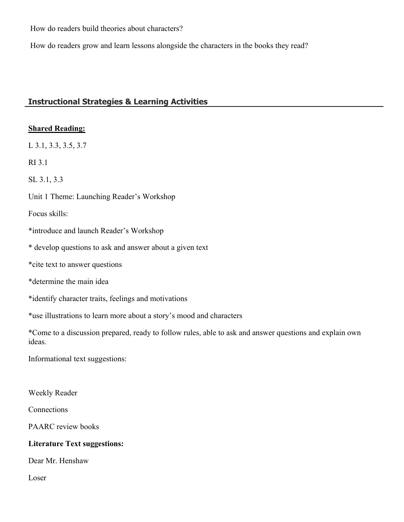How do readers build theories about characters?

How do readers grow and learn lessons alongside the characters in the books they read?

# **Instructional Strategies & Learning Activities**

### **Shared Reading:**

L 3.1, 3.3, 3.5, 3.7

RI 3.1

SL 3.1, 3.3

Unit 1 Theme: Launching Reader's Workshop

Focus skills:

- \*introduce and launch Reader's Workshop
- \* develop questions to ask and answer about a given text
- \*cite text to answer questions
- \*determine the main idea
- \*identify character traits, feelings and motivations

\*use illustrations to learn more about a story's mood and characters

\*Come to a discussion prepared, ready to follow rules, able to ask and answer questions and explain own ideas.

Informational text suggestions:

Weekly Reader

Connections

PAARC review books

### **Literature Text suggestions:**

Dear Mr. Henshaw

Loser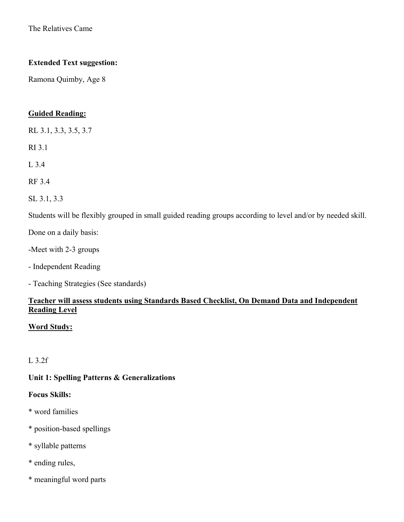The Relatives Came

### **Extended Text suggestion:**

Ramona Quimby, Age 8

### **Guided Reading:**

RL 3.1, 3.3, 3.5, 3.7

RI 3.1

L 3.4

RF 3.4

SL 3.1, 3.3

Students will be flexibly grouped in small guided reading groups according to level and/or by needed skill.

Done on a daily basis:

-Meet with 2-3 groups

- Independent Reading
- Teaching Strategies (See standards)

# **Teacher will assess students using Standards Based Checklist, On Demand Data and Independent Reading Level**

### **Word Study:**

# L 3.2f

### **Unit 1: Spelling Patterns & Generalizations**

#### **Focus Skills:**

- \* word families
- \* position-based spellings
- \* syllable patterns
- \* ending rules,
- \* meaningful word parts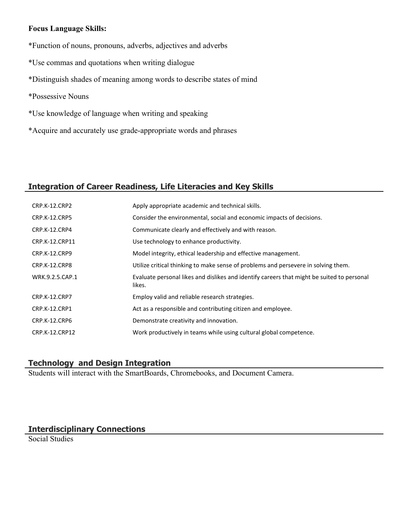### **Focus Language Skills:**

- \*Function of nouns, pronouns, adverbs, adjectives and adverbs
- \*Use commas and quotations when writing dialogue
- \*Distinguish shades of meaning among words to describe states of mind
- \*Possessive Nouns
- \*Use knowledge of language when writing and speaking
- \*Acquire and accurately use grade-appropriate words and phrases

# **Integration of Career Readiness, Life Literacies and Key Skills**

| CRP.K-12.CRP2        | Apply appropriate academic and technical skills.                                                     |
|----------------------|------------------------------------------------------------------------------------------------------|
| <b>CRP.K-12.CRP5</b> | Consider the environmental, social and economic impacts of decisions.                                |
| CRP.K-12.CRP4        | Communicate clearly and effectively and with reason.                                                 |
| CRP.K-12.CRP11       | Use technology to enhance productivity.                                                              |
| CRP.K-12.CRP9        | Model integrity, ethical leadership and effective management.                                        |
| CRP.K-12.CRP8        | Utilize critical thinking to make sense of problems and persevere in solving them.                   |
| WRK.9.2.5.CAP.1      | Evaluate personal likes and dislikes and identify careers that might be suited to personal<br>likes. |
| <b>CRP.K-12.CRP7</b> | Employ valid and reliable research strategies.                                                       |
| <b>CRP.K-12.CRP1</b> | Act as a responsible and contributing citizen and employee.                                          |
| CRP.K-12.CRP6        | Demonstrate creativity and innovation.                                                               |
| CRP.K-12.CRP12       | Work productively in teams while using cultural global competence.                                   |

# **Technology and Design Integration**

Students will interact with the SmartBoards, Chromebooks, and Document Camera.

# **Interdisciplinary Connections**

Social Studies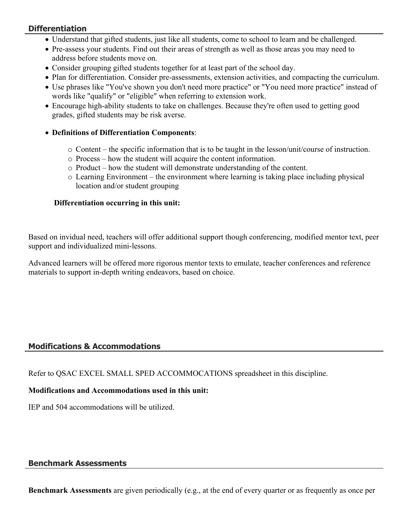# **Differentiation**

- Understand that gifted students, just like all students, come to school to learn and be challenged.
- Pre-assess your students. Find out their areas of strength as well as those areas you may need to address before students move on.
- Consider grouping gifted students together for at least part of the school day.
- Plan for differentiation. Consider pre-assessments, extension activities, and compacting the curriculum.
- Use phrases like "You've shown you don't need more practice" or "You need more practice" instead of words like "qualify" or "eligible" when referring to extension work.
- Encourage high-ability students to take on challenges. Because they're often used to getting good grades, gifted students may be risk averse.
- **Definitions of Differentiation Components**:
	- $\circ$  Content the specific information that is to be taught in the lesson/unit/course of instruction.
	- o Process how the student will acquire the content information.
	- o Product how the student will demonstrate understanding of the content.
	- $\circ$  Learning Environment the environment where learning is taking place including physical location and/or student grouping

# **Differentiation occurring in this unit:**

Based on invidual need, teachers will offer additional support though conferencing, modified mentor text, peer support and individualized mini-lessons.

Advanced learners will be offered more rigorous mentor texts to emulate, teacher conferences and reference materials to support in-depth writing endeavors, based on choice.

# **Modifications & Accommodations**

Refer to QSAC EXCEL SMALL SPED ACCOMMOCATIONS spreadsheet in this discipline.

# **Modifications and Accommodations used in this unit:**

IEP and 504 accommodations will be utilized.

# **Benchmark Assessments**

**Benchmark Assessments** are given periodically (e.g., at the end of every quarter or as frequently as once per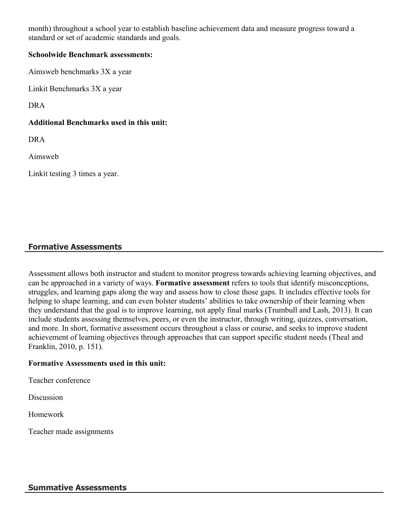month) throughout a school year to establish baseline achievement data and measure progress toward a standard or set of academic standards and goals.

### **Schoolwide Benchmark assessments:**

Aimsweb benchmarks 3X a year

Linkit Benchmarks 3X a year

DRA

# **Additional Benchmarks used in this unit:**

DRA

Aimsweb

Linkit testing 3 times a year.

# **Formative Assessments**

Assessment allows both instructor and student to monitor progress towards achieving learning objectives, and can be approached in a variety of ways. **Formative assessment** refers to tools that identify misconceptions, struggles, and learning gaps along the way and assess how to close those gaps. It includes effective tools for helping to shape learning, and can even bolster students' abilities to take ownership of their learning when they understand that the goal is to improve learning, not apply final marks (Trumbull and Lash, 2013). It can include students assessing themselves, peers, or even the instructor, through writing, quizzes, conversation, and more. In short, formative assessment occurs throughout a class or course, and seeks to improve student achievement of learning objectives through approaches that can support specific student needs (Theal and Franklin, 2010, p. 151).

### **Formative Assessments used in this unit:**

Teacher conference

**Discussion** 

Homework

Teacher made assignments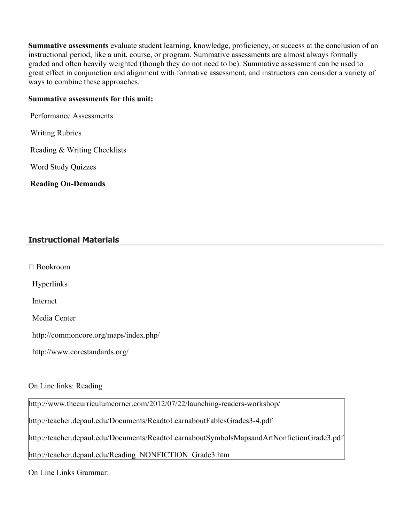**Summative assessments** evaluate student learning, knowledge, proficiency, or success at the conclusion of an instructional period, like a unit, course, or program. Summative assessments are almost always formally graded and often heavily weighted (though they do not need to be). Summative assessment can be used to great effect in conjunction and alignment with formative assessment, and instructors can consider a variety of ways to combine these approaches.

#### **Summative assessments for this unit:**

Performance Assessments

Writing Rubrics

Reading & Writing Checklists

Word Study Quizzes

**Reading On-Demands** 

# **Instructional Materials**

Bookroom

Hyperlinks

Internet

Media Center

http://commoncore.org/maps/index.php/

http://www.corestandards.org/

# On Line links: Reading

http://www.thecurriculumcorner.com/2012/07/22/launching-readers-workshop/

http://teacher.depaul.edu/Documents/ReadtoLearnaboutFablesGrades3-4.pdf

http://teacher.depaul.edu/Documents/ReadtoLearnaboutSymbolsMapsandArtNonfictionGrade3.pdf

http://teacher.depaul.edu/Reading\_NONFICTION\_Grade3.htm

On Line Links Grammar: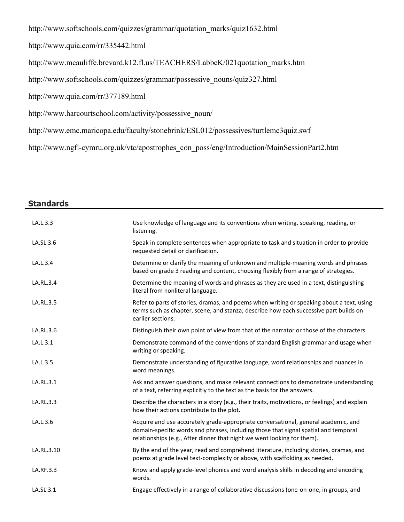http://www.softschools.com/quizzes/grammar/quotation\_marks/quiz1632.html

http://www.quia.com/rr/335442.html

http://www.mcauliffe.brevard.k12.fl.us/TEACHERS/LabbeK/021quotation\_marks.htm

http://www.softschools.com/quizzes/grammar/possessive\_nouns/quiz327.html

http://www.quia.com/rr/377189.html

http://www.harcourtschool.com/activity/possessive\_noun/

http://www.emc.maricopa.edu/faculty/stonebrink/ESL012/possessives/turtlemc3quiz.swf

http://www.ngfl-cymru.org.uk/vtc/apostrophes\_con\_poss/eng/Introduction/MainSessionPart2.htm

### **Standards**

| LA.L.3.3   | Use knowledge of language and its conventions when writing, speaking, reading, or<br>listening.                                                                                                                                                      |
|------------|------------------------------------------------------------------------------------------------------------------------------------------------------------------------------------------------------------------------------------------------------|
| LA.SL.3.6  | Speak in complete sentences when appropriate to task and situation in order to provide<br>requested detail or clarification.                                                                                                                         |
| LA.L.3.4   | Determine or clarify the meaning of unknown and multiple-meaning words and phrases<br>based on grade 3 reading and content, choosing flexibly from a range of strategies.                                                                            |
| LA.RL.3.4  | Determine the meaning of words and phrases as they are used in a text, distinguishing<br>literal from nonliteral language.                                                                                                                           |
| LA.RL.3.5  | Refer to parts of stories, dramas, and poems when writing or speaking about a text, using<br>terms such as chapter, scene, and stanza; describe how each successive part builds on<br>earlier sections.                                              |
| LA.RL.3.6  | Distinguish their own point of view from that of the narrator or those of the characters.                                                                                                                                                            |
| LA.L.3.1   | Demonstrate command of the conventions of standard English grammar and usage when<br>writing or speaking.                                                                                                                                            |
| LA.L.3.5   | Demonstrate understanding of figurative language, word relationships and nuances in<br>word meanings.                                                                                                                                                |
| LA.RL.3.1  | Ask and answer questions, and make relevant connections to demonstrate understanding<br>of a text, referring explicitly to the text as the basis for the answers.                                                                                    |
| LA.RL.3.3  | Describe the characters in a story (e.g., their traits, motivations, or feelings) and explain<br>how their actions contribute to the plot.                                                                                                           |
| LA.L.3.6   | Acquire and use accurately grade-appropriate conversational, general academic, and<br>domain-specific words and phrases, including those that signal spatial and temporal<br>relationships (e.g., After dinner that night we went looking for them). |
| LA.RL.3.10 | By the end of the year, read and comprehend literature, including stories, dramas, and<br>poems at grade level text-complexity or above, with scaffolding as needed.                                                                                 |
| LA.RF.3.3  | Know and apply grade-level phonics and word analysis skills in decoding and encoding<br>words.                                                                                                                                                       |
| LA.SL.3.1  | Engage effectively in a range of collaborative discussions (one-on-one, in groups, and                                                                                                                                                               |